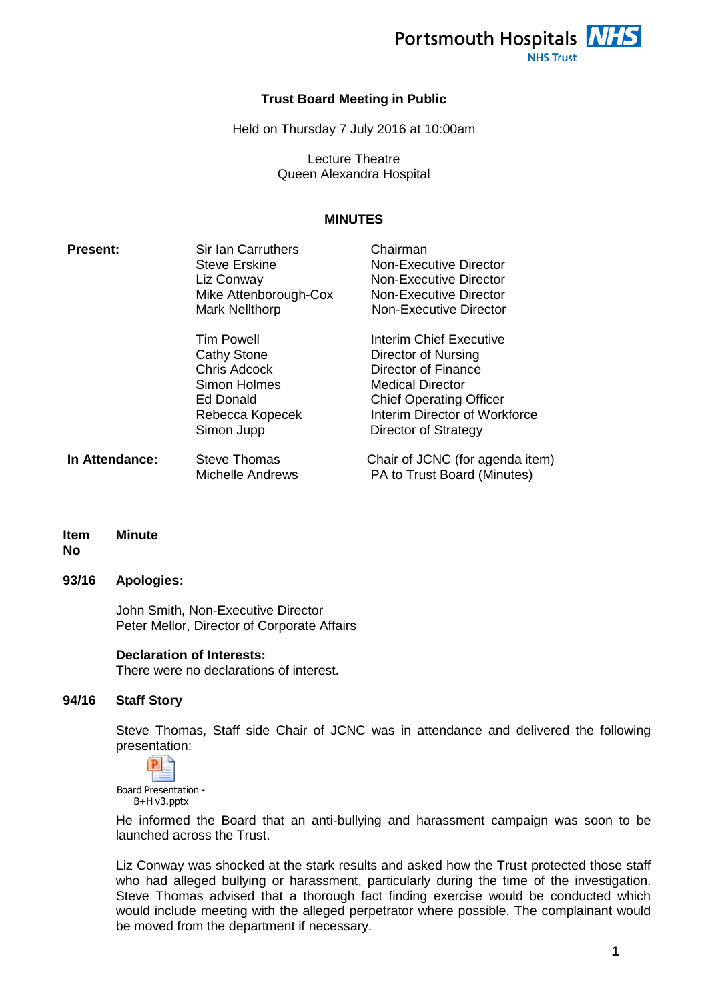

### **Trust Board Meeting in Public**

Held on Thursday 7 July 2016 at 10:00am

Lecture Theatre Queen Alexandra Hospital

## **MINUTES**

| <b>Present:</b> | <b>Sir Ian Carruthers</b><br><b>Steve Erskine</b><br>Liz Conway<br>Mike Attenborough-Cox<br><b>Mark Nellthorp</b>            | Chairman<br><b>Non-Executive Director</b><br>Non-Executive Director<br>Non-Executive Director<br>Non-Executive Director                                                              |
|-----------------|------------------------------------------------------------------------------------------------------------------------------|--------------------------------------------------------------------------------------------------------------------------------------------------------------------------------------|
|                 | <b>Tim Powell</b><br><b>Cathy Stone</b><br><b>Chris Adcock</b><br>Simon Holmes<br>Ed Donald<br>Rebecca Kopecek<br>Simon Jupp | Interim Chief Executive<br>Director of Nursing<br>Director of Finance<br>Medical Director<br><b>Chief Operating Officer</b><br>Interim Director of Workforce<br>Director of Strategy |
| In Attendance:  | <b>Steve Thomas</b><br>Michelle Andrews                                                                                      | Chair of JCNC (for agenda item)<br>PA to Trust Board (Minutes)                                                                                                                       |

**Item Minute**

## **No**

## **93/16 Apologies:**

John Smith, Non-Executive Director Peter Mellor, Director of Corporate Affairs

### **Declaration of Interests:**

There were no declarations of interest.

### **94/16 Staff Story**

Steve Thomas, Staff side Chair of JCNC was in attendance and delivered the following presentation:



He informed the Board that an anti-bullying and harassment campaign was soon to be launched across the Trust.

Liz Conway was shocked at the stark results and asked how the Trust protected those staff who had alleged bullying or harassment, particularly during the time of the investigation. Steve Thomas advised that a thorough fact finding exercise would be conducted which would include meeting with the alleged perpetrator where possible. The complainant would be moved from the department if necessary.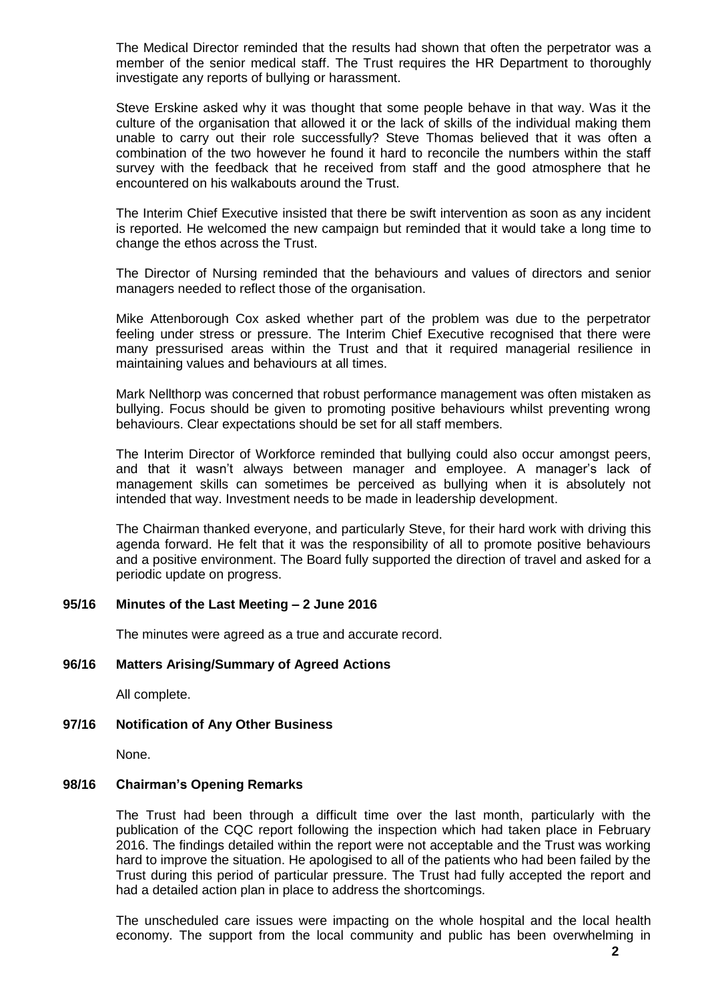The Medical Director reminded that the results had shown that often the perpetrator was a member of the senior medical staff. The Trust requires the HR Department to thoroughly investigate any reports of bullying or harassment.

Steve Erskine asked why it was thought that some people behave in that way. Was it the culture of the organisation that allowed it or the lack of skills of the individual making them unable to carry out their role successfully? Steve Thomas believed that it was often a combination of the two however he found it hard to reconcile the numbers within the staff survey with the feedback that he received from staff and the good atmosphere that he encountered on his walkabouts around the Trust.

The Interim Chief Executive insisted that there be swift intervention as soon as any incident is reported. He welcomed the new campaign but reminded that it would take a long time to change the ethos across the Trust.

The Director of Nursing reminded that the behaviours and values of directors and senior managers needed to reflect those of the organisation.

Mike Attenborough Cox asked whether part of the problem was due to the perpetrator feeling under stress or pressure. The Interim Chief Executive recognised that there were many pressurised areas within the Trust and that it required managerial resilience in maintaining values and behaviours at all times.

Mark Nellthorp was concerned that robust performance management was often mistaken as bullying. Focus should be given to promoting positive behaviours whilst preventing wrong behaviours. Clear expectations should be set for all staff members.

The Interim Director of Workforce reminded that bullying could also occur amongst peers, and that it wasn't always between manager and employee. A manager's lack of management skills can sometimes be perceived as bullying when it is absolutely not intended that way. Investment needs to be made in leadership development.

The Chairman thanked everyone, and particularly Steve, for their hard work with driving this agenda forward. He felt that it was the responsibility of all to promote positive behaviours and a positive environment. The Board fully supported the direction of travel and asked for a periodic update on progress.

### **95/16 Minutes of the Last Meeting – 2 June 2016**

The minutes were agreed as a true and accurate record.

### **96/16 Matters Arising/Summary of Agreed Actions**

All complete.

### **97/16 Notification of Any Other Business**

None.

### **98/16 Chairman's Opening Remarks**

The Trust had been through a difficult time over the last month, particularly with the publication of the CQC report following the inspection which had taken place in February 2016. The findings detailed within the report were not acceptable and the Trust was working hard to improve the situation. He apologised to all of the patients who had been failed by the Trust during this period of particular pressure. The Trust had fully accepted the report and had a detailed action plan in place to address the shortcomings.

The unscheduled care issues were impacting on the whole hospital and the local health economy. The support from the local community and public has been overwhelming in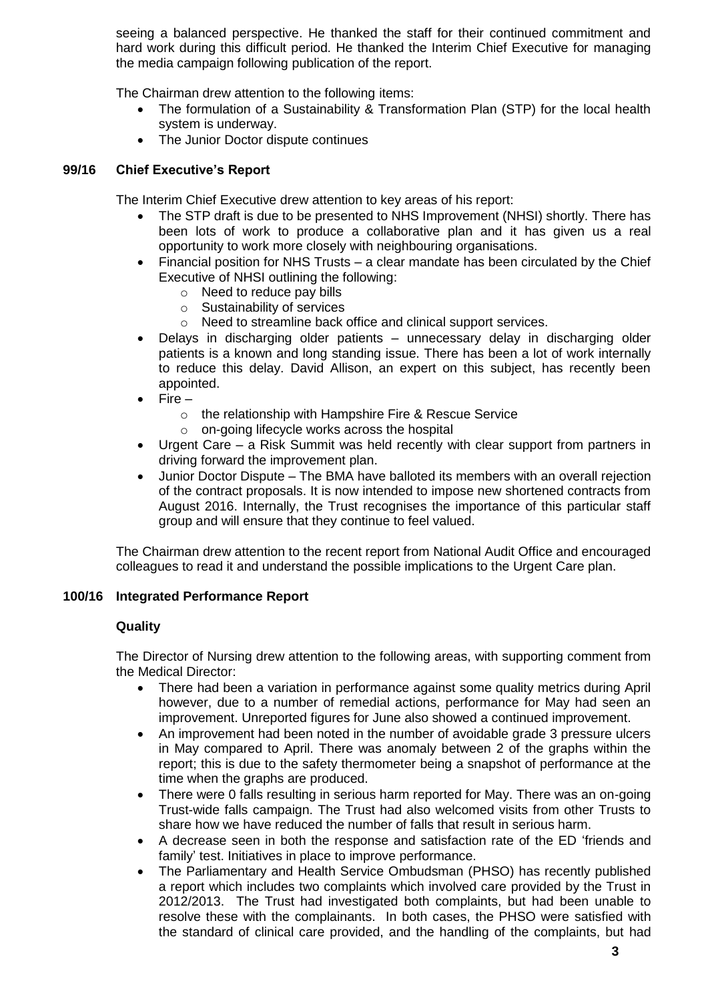seeing a balanced perspective. He thanked the staff for their continued commitment and hard work during this difficult period. He thanked the Interim Chief Executive for managing the media campaign following publication of the report.

The Chairman drew attention to the following items:

- The formulation of a Sustainability & Transformation Plan (STP) for the local health system is underway.
- The Junior Doctor dispute continues

## **99/16 Chief Executive's Report**

The Interim Chief Executive drew attention to key areas of his report:

- The STP draft is due to be presented to NHS Improvement (NHSI) shortly. There has been lots of work to produce a collaborative plan and it has given us a real opportunity to work more closely with neighbouring organisations.
- Financial position for NHS Trusts a clear mandate has been circulated by the Chief Executive of NHSI outlining the following:
	- o Need to reduce pay bills
	- o Sustainability of services
	- o Need to streamline back office and clinical support services.
- Delays in discharging older patients unnecessary delay in discharging older patients is a known and long standing issue. There has been a lot of work internally to reduce this delay. David Allison, an expert on this subject, has recently been appointed.
- Fire
	- o the relationship with Hampshire Fire & Rescue Service
	- o on-going lifecycle works across the hospital
- Urgent Care a Risk Summit was held recently with clear support from partners in driving forward the improvement plan.
- Junior Doctor Dispute The BMA have balloted its members with an overall rejection of the contract proposals. It is now intended to impose new shortened contracts from August 2016. Internally, the Trust recognises the importance of this particular staff group and will ensure that they continue to feel valued.

The Chairman drew attention to the recent report from National Audit Office and encouraged colleagues to read it and understand the possible implications to the Urgent Care plan.

## **100/16 Integrated Performance Report**

## **Quality**

The Director of Nursing drew attention to the following areas, with supporting comment from the Medical Director:

- There had been a variation in performance against some quality metrics during April however, due to a number of remedial actions, performance for May had seen an improvement. Unreported figures for June also showed a continued improvement.
- An improvement had been noted in the number of avoidable grade 3 pressure ulcers in May compared to April. There was anomaly between 2 of the graphs within the report; this is due to the safety thermometer being a snapshot of performance at the time when the graphs are produced.
- There were 0 falls resulting in serious harm reported for May. There was an on-going Trust-wide falls campaign. The Trust had also welcomed visits from other Trusts to share how we have reduced the number of falls that result in serious harm.
- A decrease seen in both the response and satisfaction rate of the ED 'friends and family' test. Initiatives in place to improve performance.
- The Parliamentary and Health Service Ombudsman (PHSO) has recently published a report which includes two complaints which involved care provided by the Trust in 2012/2013. The Trust had investigated both complaints, but had been unable to resolve these with the complainants. In both cases, the PHSO were satisfied with the standard of clinical care provided, and the handling of the complaints, but had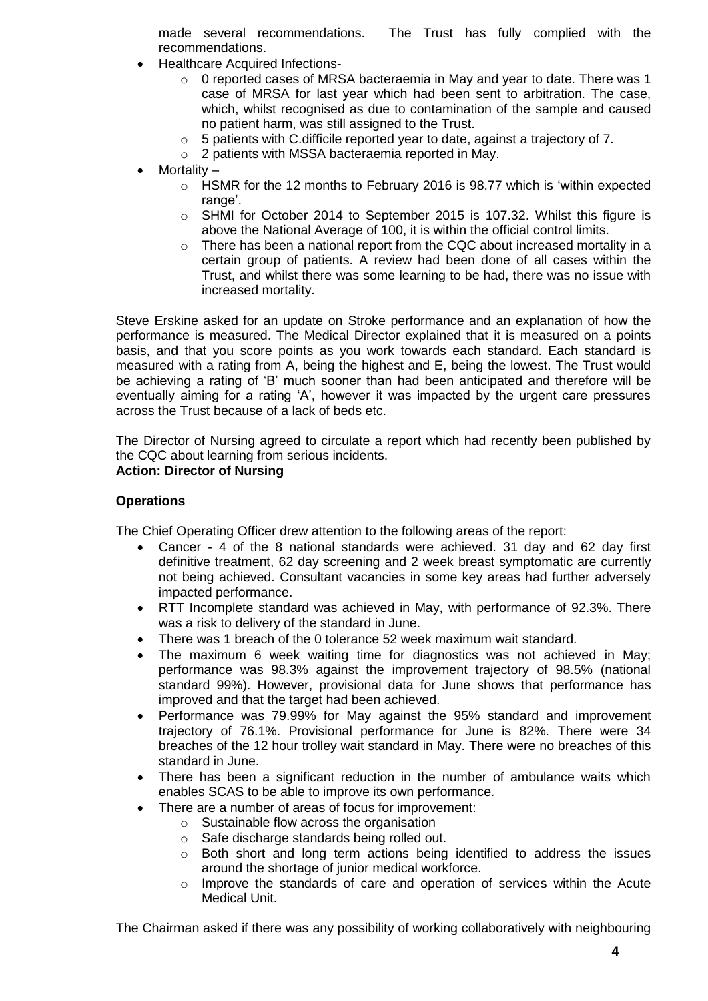made several recommendations. The Trust has fully complied with the recommendations.

- Healthcare Acquired Infections-
	- $\circ$  0 reported cases of MRSA bacteraemia in May and year to date. There was 1 case of MRSA for last year which had been sent to arbitration. The case, which, whilst recognised as due to contamination of the sample and caused no patient harm, was still assigned to the Trust.
	- o 5 patients with C.difficile reported year to date, against a trajectory of 7.
	- o 2 patients with MSSA bacteraemia reported in May.
- Mortality
	- o HSMR for the 12 months to February 2016 is 98.77 which is 'within expected range'.
	- o SHMI for October 2014 to September 2015 is 107.32. Whilst this figure is above the National Average of 100, it is within the official control limits.
	- $\circ$  There has been a national report from the CQC about increased mortality in a certain group of patients. A review had been done of all cases within the Trust, and whilst there was some learning to be had, there was no issue with increased mortality.

Steve Erskine asked for an update on Stroke performance and an explanation of how the performance is measured. The Medical Director explained that it is measured on a points basis, and that you score points as you work towards each standard. Each standard is measured with a rating from A, being the highest and E, being the lowest. The Trust would be achieving a rating of 'B' much sooner than had been anticipated and therefore will be eventually aiming for a rating 'A', however it was impacted by the urgent care pressures across the Trust because of a lack of beds etc.

The Director of Nursing agreed to circulate a report which had recently been published by the CQC about learning from serious incidents. **Action: Director of Nursing**

# **Operations**

The Chief Operating Officer drew attention to the following areas of the report:

- Cancer 4 of the 8 national standards were achieved. 31 day and 62 day first definitive treatment, 62 day screening and 2 week breast symptomatic are currently not being achieved. Consultant vacancies in some key areas had further adversely impacted performance.
- RTT Incomplete standard was achieved in May, with performance of 92.3%. There was a risk to delivery of the standard in June.
- There was 1 breach of the 0 tolerance 52 week maximum wait standard.
- The maximum 6 week waiting time for diagnostics was not achieved in May; performance was 98.3% against the improvement trajectory of 98.5% (national standard 99%). However, provisional data for June shows that performance has improved and that the target had been achieved.
- Performance was 79.99% for May against the 95% standard and improvement trajectory of 76.1%. Provisional performance for June is 82%. There were 34 breaches of the 12 hour trolley wait standard in May. There were no breaches of this standard in June.
- There has been a significant reduction in the number of ambulance waits which enables SCAS to be able to improve its own performance.
- There are a number of areas of focus for improvement:
	- o Sustainable flow across the organisation
	- $\circ$  Safe discharge standards being rolled out.<br> $\circ$  Both short and long term actions being
	- Both short and long term actions being identified to address the issues around the shortage of junior medical workforce.
	- $\circ$  Improve the standards of care and operation of services within the Acute Medical Unit.

The Chairman asked if there was any possibility of working collaboratively with neighbouring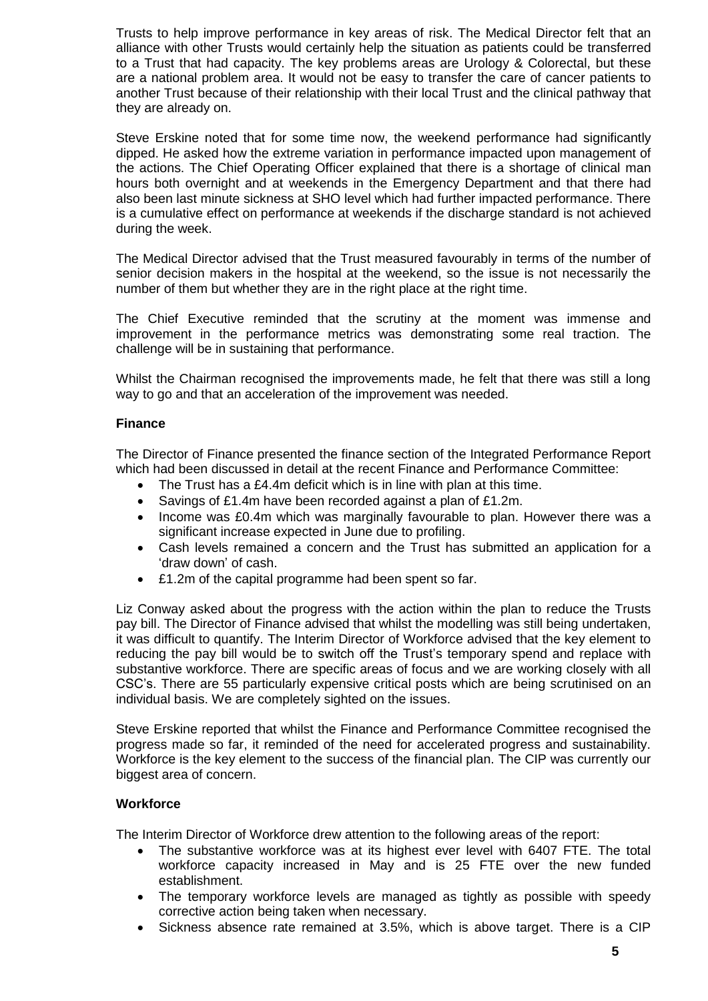Trusts to help improve performance in key areas of risk. The Medical Director felt that an alliance with other Trusts would certainly help the situation as patients could be transferred to a Trust that had capacity. The key problems areas are Urology & Colorectal, but these are a national problem area. It would not be easy to transfer the care of cancer patients to another Trust because of their relationship with their local Trust and the clinical pathway that they are already on.

Steve Erskine noted that for some time now, the weekend performance had significantly dipped. He asked how the extreme variation in performance impacted upon management of the actions. The Chief Operating Officer explained that there is a shortage of clinical man hours both overnight and at weekends in the Emergency Department and that there had also been last minute sickness at SHO level which had further impacted performance. There is a cumulative effect on performance at weekends if the discharge standard is not achieved during the week.

The Medical Director advised that the Trust measured favourably in terms of the number of senior decision makers in the hospital at the weekend, so the issue is not necessarily the number of them but whether they are in the right place at the right time.

The Chief Executive reminded that the scrutiny at the moment was immense and improvement in the performance metrics was demonstrating some real traction. The challenge will be in sustaining that performance.

Whilst the Chairman recognised the improvements made, he felt that there was still a long way to go and that an acceleration of the improvement was needed.

## **Finance**

The Director of Finance presented the finance section of the Integrated Performance Report which had been discussed in detail at the recent Finance and Performance Committee:

- The Trust has a £4.4m deficit which is in line with plan at this time.
- Savings of £1.4m have been recorded against a plan of £1.2m.
- Income was £0.4m which was marginally favourable to plan. However there was a significant increase expected in June due to profiling.
- Cash levels remained a concern and the Trust has submitted an application for a 'draw down' of cash.
- £1.2m of the capital programme had been spent so far.

Liz Conway asked about the progress with the action within the plan to reduce the Trusts pay bill. The Director of Finance advised that whilst the modelling was still being undertaken, it was difficult to quantify. The Interim Director of Workforce advised that the key element to reducing the pay bill would be to switch off the Trust's temporary spend and replace with substantive workforce. There are specific areas of focus and we are working closely with all CSC's. There are 55 particularly expensive critical posts which are being scrutinised on an individual basis. We are completely sighted on the issues.

Steve Erskine reported that whilst the Finance and Performance Committee recognised the progress made so far, it reminded of the need for accelerated progress and sustainability. Workforce is the key element to the success of the financial plan. The CIP was currently our biggest area of concern.

## **Workforce**

The Interim Director of Workforce drew attention to the following areas of the report:

- The substantive workforce was at its highest ever level with 6407 FTE. The total workforce capacity increased in May and is 25 FTE over the new funded establishment.
- The temporary workforce levels are managed as tightly as possible with speedy corrective action being taken when necessary.
- Sickness absence rate remained at 3.5%, which is above target. There is a CIP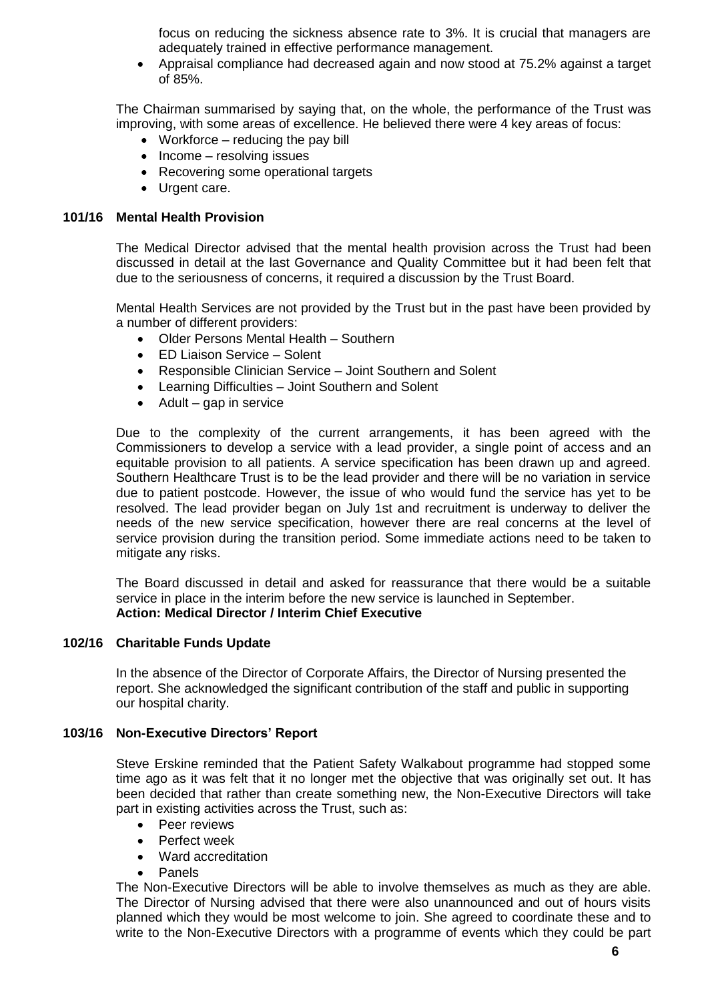focus on reducing the sickness absence rate to 3%. It is crucial that managers are adequately trained in effective performance management.

 Appraisal compliance had decreased again and now stood at 75.2% against a target of 85%.

The Chairman summarised by saying that, on the whole, the performance of the Trust was improving, with some areas of excellence. He believed there were 4 key areas of focus:

- Workforce reducing the pay bill
- $\bullet$  Income resolving issues
- Recovering some operational targets
- Urgent care.

### **101/16 Mental Health Provision**

The Medical Director advised that the mental health provision across the Trust had been discussed in detail at the last Governance and Quality Committee but it had been felt that due to the seriousness of concerns, it required a discussion by the Trust Board.

Mental Health Services are not provided by the Trust but in the past have been provided by a number of different providers:

- Older Persons Mental Health Southern
- ED Liaison Service Solent
- Responsible Clinician Service Joint Southern and Solent
- Learning Difficulties Joint Southern and Solent
- $\bullet$  Adult gap in service

Due to the complexity of the current arrangements, it has been agreed with the Commissioners to develop a service with a lead provider, a single point of access and an equitable provision to all patients. A service specification has been drawn up and agreed. Southern Healthcare Trust is to be the lead provider and there will be no variation in service due to patient postcode. However, the issue of who would fund the service has yet to be resolved. The lead provider began on July 1st and recruitment is underway to deliver the needs of the new service specification, however there are real concerns at the level of service provision during the transition period. Some immediate actions need to be taken to mitigate any risks.

The Board discussed in detail and asked for reassurance that there would be a suitable service in place in the interim before the new service is launched in September. **Action: Medical Director / Interim Chief Executive**

### **102/16 Charitable Funds Update**

In the absence of the Director of Corporate Affairs, the Director of Nursing presented the report. She acknowledged the significant contribution of the staff and public in supporting our hospital charity.

### **103/16 Non-Executive Directors' Report**

Steve Erskine reminded that the Patient Safety Walkabout programme had stopped some time ago as it was felt that it no longer met the objective that was originally set out. It has been decided that rather than create something new, the Non-Executive Directors will take part in existing activities across the Trust, such as:

- Peer reviews
- Perfect week
- Ward accreditation
- Panels

The Non-Executive Directors will be able to involve themselves as much as they are able. The Director of Nursing advised that there were also unannounced and out of hours visits planned which they would be most welcome to join. She agreed to coordinate these and to write to the Non-Executive Directors with a programme of events which they could be part